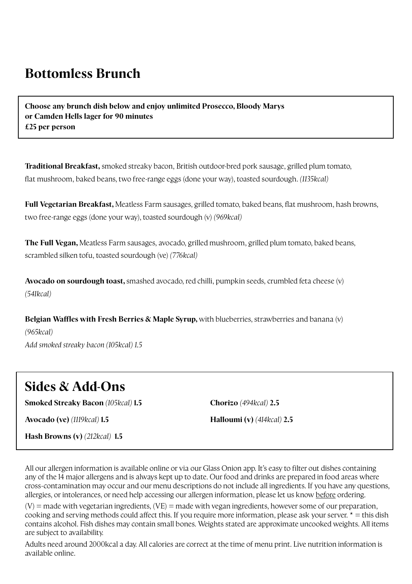## **Bottomless Brunch**

**Choose any brunch dish below and enjoy unlimited Prosecco, Bloody Marys or Camden Hells lager for 90 minutes £25 per person**

**Traditional Break fast,** smoked streaky bacon, British outdoor-bred pork sausage, grilled plum tomato, flat mushroom, baked beans, two f ree-range eggs (done your way), toasted sourdough. *(1135kcal)*

**Full Vegetarian Break fast,** Meatless Farm sausages, grilled tomato, baked beans, flat mushroom, hash browns, two f ree-range eggs (done your way), toasted sourdough (v) *(969kcal)*

**The Full Vegan,** Meatless Farm sausages, avocado, grilled mushroom, grilled plum tomato, baked beans, scrambled silken tofu, toasted sourdough (ve) *(776kcal)*

**Avocado on sourdough toast,** smashed avocado, red chilli, pumpkin seeds, crumbled feta cheese (v) *(541kcal)*

**Belgian Waffles with Fresh Berries & Maple Syrup,** with blueberries, strawberries and banana (v) *(965kcal) Add smoked streaky bacon (105kcal) 1.5*

## **Sides & Add-Ons**

**Smoked Streaky Bacon** *(105kcal)* **1.5**

**Chorizo** *(494kcal)* **2.5**

**Avocado (ve)** *(1119kcal)* **1.5**

**Halloumi (v)** *(414kcal)* **2.5**

**Hash Browns (v)** *(212kcal)* **1.5**

All our allergen information is available online or via our Glass Onion app. It's easy to filter out dishes containing any of the 14 major allergens and is always kept up to date. Our food and drinks are prepared in food areas where cross-contamination may occur and our menu descriptions do not include all ingredients. If you have any questions, allergies, or intolerances, or need help accessing our allergen information, please let us know before ordering.

 $(V)$  = made with vegetarian ingredients,  $(VE)$  = made with vegan ingredients, however some of our preparation, cooking and serving methods could affect this. If you require more information, please ask your server.  $* =$  this dish contains alcohol. Fish dishes may contain small bones. Weights stated are approximate uncooked weights. All items are subject to availability.

Adults need around 2000kcal a day. All calories are correct at the time of menu print. Live nutrition information is available online.